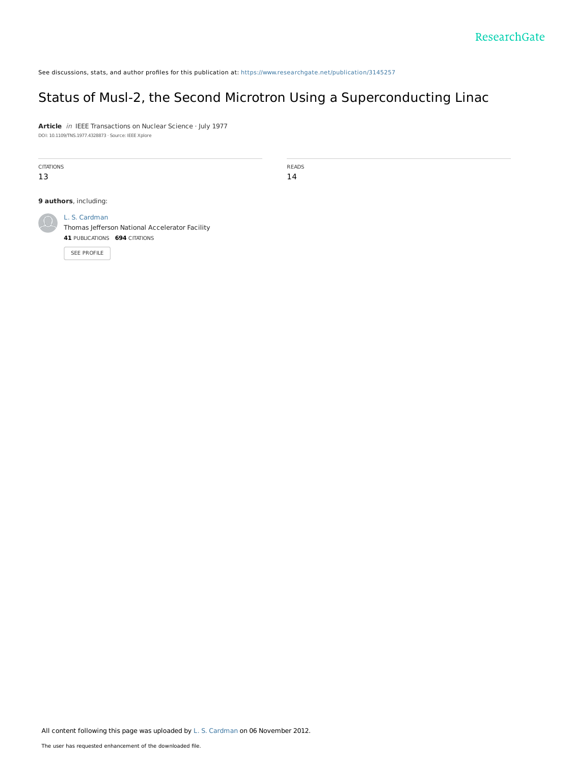See discussions, stats, and author profiles for this publication at: [https://www.researchgate.net/publication/3145257](https://www.researchgate.net/publication/3145257_Status_of_Musl-2_the_Second_Microtron_Using_a_Superconducting_Linac?enrichId=rgreq-95d88cdecd4c0afe7efb8a9a58e3a2c7-XXX&enrichSource=Y292ZXJQYWdlOzMxNDUyNTc7QVM6MTAxMTU5MzgxNTA0MDAyQDE0MDExMjk2ODQ1MDQ%3D&el=1_x_2&_esc=publicationCoverPdf)

# Status of Musl-2, the Second Microtron Using a [Superconducting](https://www.researchgate.net/publication/3145257_Status_of_Musl-2_the_Second_Microtron_Using_a_Superconducting_Linac?enrichId=rgreq-95d88cdecd4c0afe7efb8a9a58e3a2c7-XXX&enrichSource=Y292ZXJQYWdlOzMxNDUyNTc7QVM6MTAxMTU5MzgxNTA0MDAyQDE0MDExMjk2ODQ1MDQ%3D&el=1_x_3&_esc=publicationCoverPdf) Linac

**Article** in IEEE Transactions on Nuclear Science · July 1977 DOI: 10.1109/TNS.1977.4328873 · Source: IEEE Xplore

CITATIONS 13

READS 14

**9 authors**, including:



L. S. [Cardman](https://www.researchgate.net/profile/L_Cardman?enrichId=rgreq-95d88cdecd4c0afe7efb8a9a58e3a2c7-XXX&enrichSource=Y292ZXJQYWdlOzMxNDUyNTc7QVM6MTAxMTU5MzgxNTA0MDAyQDE0MDExMjk2ODQ1MDQ%3D&el=1_x_5&_esc=publicationCoverPdf)

Thomas Jefferson National [Accelerator](https://www.researchgate.net/institution/Thomas_Jefferson_National_Accelerator_Facility?enrichId=rgreq-95d88cdecd4c0afe7efb8a9a58e3a2c7-XXX&enrichSource=Y292ZXJQYWdlOzMxNDUyNTc7QVM6MTAxMTU5MzgxNTA0MDAyQDE0MDExMjk2ODQ1MDQ%3D&el=1_x_6&_esc=publicationCoverPdf) Facility **41** PUBLICATIONS **694** CITATIONS

SEE [PROFILE](https://www.researchgate.net/profile/L_Cardman?enrichId=rgreq-95d88cdecd4c0afe7efb8a9a58e3a2c7-XXX&enrichSource=Y292ZXJQYWdlOzMxNDUyNTc7QVM6MTAxMTU5MzgxNTA0MDAyQDE0MDExMjk2ODQ1MDQ%3D&el=1_x_7&_esc=publicationCoverPdf)

All content following this page was uploaded by L. S. [Cardman](https://www.researchgate.net/profile/L_Cardman?enrichId=rgreq-95d88cdecd4c0afe7efb8a9a58e3a2c7-XXX&enrichSource=Y292ZXJQYWdlOzMxNDUyNTc7QVM6MTAxMTU5MzgxNTA0MDAyQDE0MDExMjk2ODQ1MDQ%3D&el=1_x_10&_esc=publicationCoverPdf) on 06 November 2012.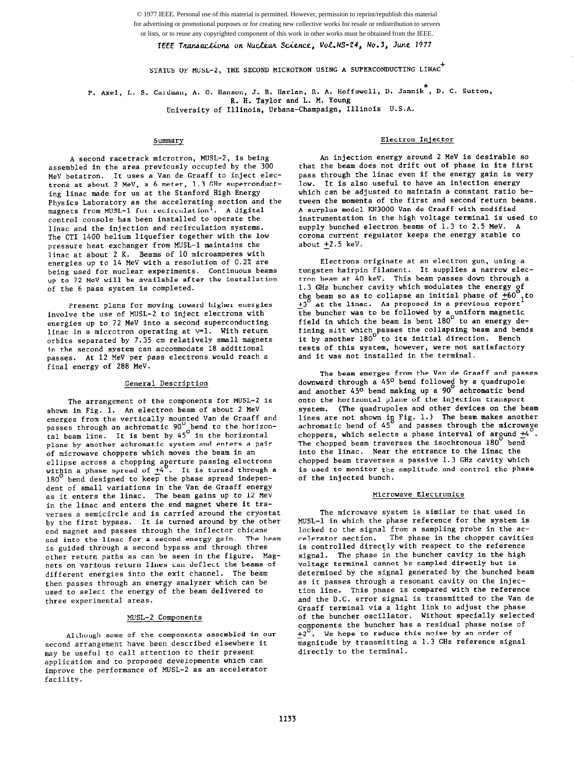© 1977 IEEE. Personal use of this material is permitted. However, permission to reprint/republish this material for advertising or promotional purposes or for creating new collective works for resale or redistribution to servers or lists, or to reuse any copyrighted component of this work in other works must be obtained from the IEEE.

IEEE Transactions on Nuclear Science, Vol. NS-24, No.3, June 1977

STATUS OF MUSL-2, THE SECOND MICROTRON USING A SUPERCONDUCTING LINAC<sup>+</sup>

P. Axel, L. S. Cardman, A. O. Hanson, J. R. Harlan, R. A. Hoffswell, D. Jamnik<sup>\*</sup>, D. C. Sutton, R. H. Taylor and L. M. Young

University of Illinois, Urbana-Champaign, Illinois U.S.A.

## Summary

A second racetrack microtron, MUSL-2, is being assembled in the area previously occupied by the 300 MeV betatron. It uses a Van de Graaff to inject electrons at about 2 MeV, a 6 meter, 1.3 GHz superconducting linac made for us at the Stanford High Energy Physics Laboratory as the accelerating section and the magnets from MUSL-1 for recirculation<sup>1</sup>. A digit control console has been installed to operate the linac and the injection and recirculation systems. The CT1 1400 helium liquefier together with the low pressure heat exchanger from MUSL-1 maintains the linac at about 2 K. Beams of 10 microamperes with energies up to 14 MeV with a resolution of 0.2% are being used for nuclear experiments. Continuous beams up to 72 MeV will be available after the installation of the 6 pass system is completed.

Present plans for moving toward higher energies involve the use of MUSL-2 to inject electrons with energies up to 72 MeV into a second superconducting linac in a microtron operating at  $v=1$ . With return orbits separated by 7.35 cm relatively small magnets in the second system can accommodate 18 additional passes. At 12 MeV per pass electrons would reach a final energy of 288 MeV.

# General Description

The arrangement of the components for MUSL-2 is shown in Fig. 1. An electron beam of about 2 MeV emerges from the vertically mounted Van de Graaff and passes through an achromatic  $90^{\circ}$  bend to the horizonpasses through an achromatic 90  $\degree$  bend to the horizo tal beam line. It is bent by 45" in the horizon plane by another achromatic system and enters a pair of microwave choppers which moves the beam in an ellipse across a chopping aperture passing electro within a phase spread of  $\pm 4$  . It is turned through a 180<sup>°</sup> bend designed to keep the phase spread independent of small variations in the Van de Graaff energ as it enters the linac. The beam gains up to 12 MeV in the linac and enters the end magnet where it traverses a semicircle and is carried around the cryostat by the first bypass. It is turned around by the other end magnet and passes through the inflector chicane and into the linac for a second energy gain. The beam is guided through a second bypass and through three other return paths as can be seen in the figure. Magnets on various return lines can deflect the beams of different energies into the exit channel. The beam then passes through an energy analyzer which can be used to select the energy of the beam delivered to three experimental areas.

# MLJSL-2 Components

Although some of the components assembled in our second arrangement have been described elsewhere it may be useful to call attention to their present application and to proposed developments which can improve the performance of MUSL-2 as an accelerator facility.

# Electron Injector

An injection energy around 2 MeV is desirable so that the beam does not drift out of phase in its first pass through the linac even if the energy gain is very low. It is also useful to have an injection energy which can be adjusted to maintain a constant ratio between the momenta of the first and second return beams. A surplus model KN3000 Van de Graaff with modified instrumentation in the high voltage terminal is used to supply bunched electron beams of 1.3 to 2.5 MeV. A corona current regulator keeps the energy stable to about  $\pm 2.5$  keV.

Electrons originate at an electron gun, using a tungsten hairpin filament. It supplies a narrow electron beam at 40 keV. This beam passes down through a 1.3 GHz buncher cavity which modulates the energy of the beam so as to collapse an initial phase of  $+60$  $+3^0$  at the linac. As proposed in a previous report<br>the buncher was to be followed. the buncher was to be followed by a uniform magnetic field in which the beam is bent 180' to an energy defining slit which passes the collapsing beam and bends it by another 180' to Its initial direction. Bench tests of this system, however, were not satisfactory and it was not Installed in the terminal.

The beam emerges from the van de Graaff and passes  $\overline{\phantom{a}}$ downward through a 45° bend followed by a quadrupo and another 450 bend making up a 90 achromatic bend onto the horizontal plane of the injection transport system. (The quadrupoles and other devices on the beam lines are not shown in Fig. 1.) The beam makes another achromatic bend of 45 and passes through the microway choppers, which selects a phase interval or argund  $\underline{r}$ 4. The chopped beam traverses the isochronous 180 bend into the linac. Near the entrance to the linac the chopped beam traverses a passive 1.3 GHz cavity which is used to monitor the amplitude and control the phase of the injected bunch.

## Microwave Electronics

The microwave system is similar to that used in MUSL-1 in which the phase reference for the system is locked to the signal from a sampling probe in the accelerator section. The phase in the chopper cavities is controlled directly with respect to the reference signal. The phase in the buncher cavity in the high voltage terminal cannot be sampled directly but is determined by the signal generated by the bunched beam as it passes through a resonant cavity on the injection line. This phase is compared with the reference and the D.C. error signal is transmitted to the Van de Graaff terminal via a light link to adjust the phase of the buncher oscillator. Without specially selected components the buncher has a residual phase noise of  $+2^U$ . We hope to reduce this noise by an order of magnitude by transmitting a 1.3 GHz reference signal directly to the terminal.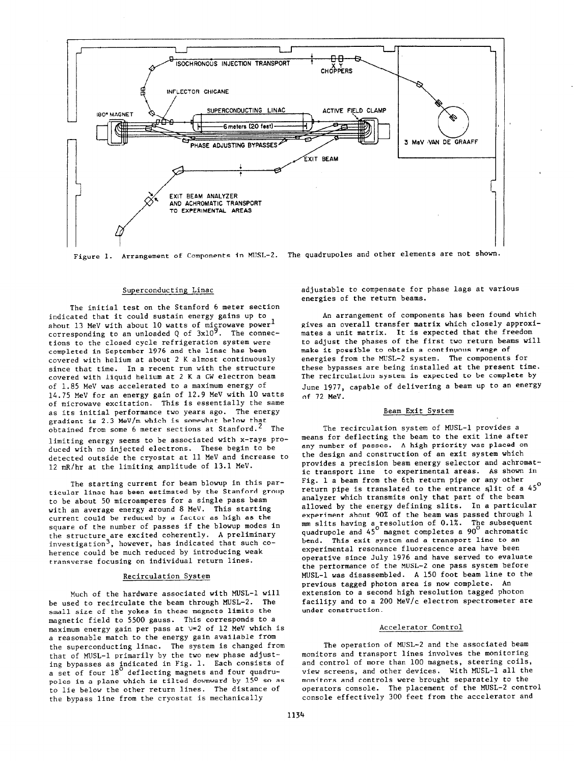

## Superconducting Linac

The initial test on the Stanford 6 meter section indicated that it could sustain energy gains up to about 13 MeV with about 10 watts of microwave power<sup>1</sup> corresponding to an unloaded Q of  $3x10<sup>9</sup>$ . The connections to the closed cycle refrigeration system were completed in September 1976 and the linac has been covered with helium at about 2 K almost continuously since that time. In a recent run with the structure covered with liquid helium at 2 K a CW electron beam of 1.85 MeV was accelerated to a maximum energy of 14.75 MeV for an energy gain of 12.9 MeV with 10 watts of microwave excitation. This is essentially the same as its initial performance two years ago. The energy gradient is 2.3 MeV/m which is somewhat below that obtained from some 6 meter sections at Stanford.<sup>2</sup> The limiting energy seems to be associated with x-rays produced with no injected electrons. These begin to be detected outside the cryostat at 11 MeV and increase to 12 mR/hr at the limiting amplitude of 13.1 MeV.

The starting current for beam blowup in this particular linac has been estimated by the Stanford group to be about 50 microamperes for a single pass beam with an average energy around 8 MeV. This starting current could be reduced by a factor as high as the square of the number of passes if the blowup modes in the structure are excited coherently. A preliminary investigation<sup>3</sup>, however, has indicated that such  $co$ herence could be much reduced by introducing weak transverse focusing on individual return lines.

### Recirculation System

Much of the hardware associated with MUSL-1 will be used to recirculate the beam through MUSL-2. The small size of the yokes in these magnets limits the magnetic field to 5500 gauss. This corresponds to a maximum energy gain per pass at  $v=2$  of 12 MeV which is a reasonable match to the energy gain available from the superconducting linac. The system is changed from that of MUSL-1 primarily by the two new phase adjusting bypasses as indicated in Fig. 1. Each consists of a set of four  $18\degree$  deflecting magnets and four quadr poles in a plane which is tilted downward by  $15^{\circ}$  so as to lie below the other return lines. The distance of the bypass line from the cryostat is mechanically

adjustable to compensate for phase lags at various energies of the return beams.

An arrangement of components has been found which gives an overall transfer matrix which closely approxlmates a unit matrix. It is expected that the freedom to adjust the phases of the first two return beams will make it possible to obtain a continuous range of energies from the MUSL-2 system. The components for these bypasses are being installed at the present time. The recirculation system is expected to be complete by June 1977, capable of delivering a beam up to an energy of 72 MeV.

## Beam Exit System

The recirculation system of MUSL-1 provides a means for deflecting the beam to the exit line after any number of passes. A high priority was placed on the design and construction of an exit system which provides a precision beam energy selector and achromatic transport line to experimental areas. As shown in Fig. 1 a beam from the 6th return pipe or any other return pipe is translated to the entrance slit of a  $45^{\circ}$ analyzer which transmits only that part of the beam allowed by the energy defining slits. In a particular experiment about 90% of the beam was passed through 1  $\mathfrak{m}$ m slits having a resolution of 0.1%. The subsequent quadrupole and 45' magnet completes a 90' achromatic bend. This exit system and a transport line to an experimental resonance fluorescence area have been operative since July 1976 and have served to evaluate the performance of the MUSL-2 one pass system before MUSL-1 was disassembled. A 150 foot beam line to the previous tagged photon area is now complete. An extension to a second high resolution tagged photon facility and to a 200 MeV/c electron spectrometer are under construction.

#### Accelerator Control

The operation of MUSL-2 and the associated beam monitors and transport lines involves the monitoring and control of more than 100 magnets, steering coils, view screens, and other devices. With MUSL-1 all the monitors and controls were brought separately to the operators console. The placement of the MUSL-2 control console effectively 300 feet from the accelerator and